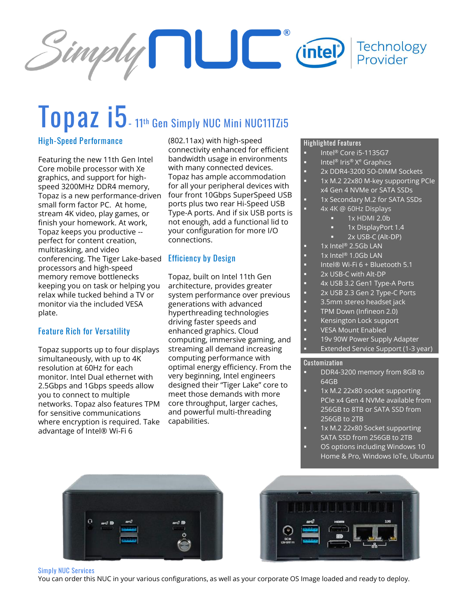

# **Topaz i5- <sup>11</sup>th Gen Simply NUC Mini NUC11TZi5**

#### **High-Speed Performance**

Featuring the new 11th Gen Intel Core mobile processor with Xe graphics, and support for highspeed 3200MHz DDR4 memory, Topaz is a new performance-driven small form factor PC. At home, stream 4K video, play games, or finish your homework. At work, Topaz keeps you productive - perfect for content creation, multitasking, and video conferencing. The Tiger Lake-based **Efficiency by Design** processors and high-speed memory remove bottlenecks keeping you on task or helping you relax while tucked behind a TV or monitor via the included VESA plate.

#### **Feature Rich for Versatility**

Topaz supports up to four displays simultaneously, with up to 4K resolution at 60Hz for each monitor. Intel Dual ethernet with 2.5Gbps and 1Gbps speeds allow you to connect to multiple networks. Topaz also features TPM for sensitive communications where encryption is required. Take advantage of Intel® Wi-Fi 6

(802.11ax) with high-speed connectivity enhanced for efficient bandwidth usage in environments with many connected devices. Topaz has ample accommodation for all your peripheral devices with four front 10Gbps SuperSpeed USB ports plus two rear Hi-Speed USB Type-A ports. And if six USB ports is not enough, add a functional lid to your configuration for more I/O connections.

Topaz, built on Intel 11th Gen architecture, provides greater system performance over previous generations with advanced hyperthreading technologies driving faster speeds and enhanced graphics. Cloud computing, immersive gaming, and streaming all demand increasing computing performance with optimal energy efficiency. From the very beginning, Intel engineers designed their "Tiger Lake" core to meet those demands with more core throughput, larger caches, and powerful multi-threading capabilities.

#### **Highlighted Features**

- Intel® Core i5-1135G7
- Intel® Iris® X<sup>e</sup> Graphics
	- 2x DDR4-3200 SO-DIMM Sockets
	- 1x M.2 22x80 M-key supporting PCIe
	- x4 Gen 4 NVMe or SATA SSDs
	- 1x Secondary M.2 for SATA SSDs
	- 4x 4K @ 60Hz Displays
		- 1x HDMI 2.0b
		- 1x DisplayPort 1.4
		- 2x USB-C (Alt-DP)
	- $1x$  Intel® 2.5Gb LAN
- 1x Intel® 1.0Gb LAN
- Intel® Wi-Fi 6 + Bluetooth 5.1
- 2x USB-C with Alt-DP
- 4x USB 3.2 Gen1 Type-A Ports
- 2x USB 2.3 Gen 2 Type-C Ports
- 3.5mm stereo headset jack
- TPM Down (Infineon 2.0)
- Kensington Lock support
- **VESA Mount Enabled**
- 19v 90W Power Supply Adapter Extended Service Support (1-3 year)

#### **Customization**

- DDR4-3200 memory from 8GB to 64GB
- 1x M.2 22x80 socket supporting PCIe x4 Gen 4 NVMe available from 256GB to 8TB or SATA SSD from 256GB to 2TB
- 1x M.2 22x80 Socket supporting SATA SSD from 256GB to 2TB OS options including Windows 10
- Home & Pro, Windows IoTe, Ubuntu





#### **Simply NUC Services**

You can order this NUC in your various configurations, as well as your corporate OS Image loaded and ready to deploy.